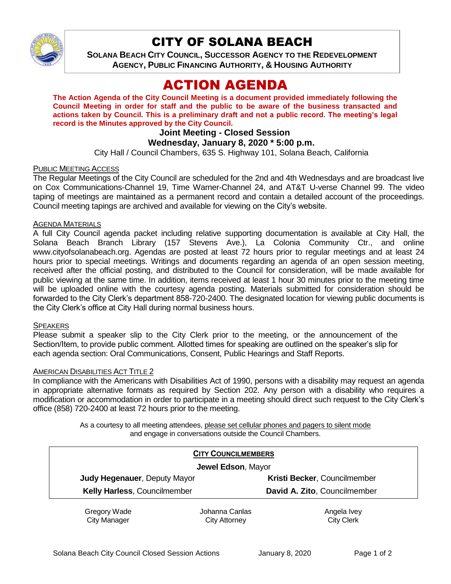

## CITY OF SOLANA BEACH

**SOLANA BEACH CITY COUNCIL, SUCCESSOR AGENCY TO THE REDEVELOPMENT AGENCY, PUBLIC FINANCING AUTHORITY, & HOUSING AUTHORITY** 

# ACTION AGENDA

**The Action Agenda of the City Council Meeting is a document provided immediately following the Council Meeting in order for staff and the public to be aware of the business transacted and actions taken by Council. This is a preliminary draft and not a public record. The meeting's legal record is the Minutes approved by the City Council.**

## **Joint Meeting - Closed Session**

## **Wednesday, January 8, 2020 \* 5:00 p.m.**

City Hall / Council Chambers, 635 S. Highway 101, Solana Beach, California

#### PUBLIC MEETING ACCESS

The Regular Meetings of the City Council are scheduled for the 2nd and 4th Wednesdays and are broadcast live on Cox Communications-Channel 19, Time Warner-Channel 24, and AT&T U-verse Channel 99. The video taping of meetings are maintained as a permanent record and contain a detailed account of the proceedings. Council meeting tapings are archived and available for viewing on the City's website.

#### AGENDA MATERIALS

A full City Council agenda packet including relative supporting documentation is available at City Hall, the Solana Beach Branch Library (157 Stevens Ave.), La Colonia Community Ctr., and online www.cityofsolanabeach.org. Agendas are posted at least 72 hours prior to regular meetings and at least 24 hours prior to special meetings. Writings and documents regarding an agenda of an open session meeting, received after the official posting, and distributed to the Council for consideration, will be made available for public viewing at the same time. In addition, items received at least 1 hour 30 minutes prior to the meeting time will be uploaded online with the courtesy agenda posting. Materials submitted for consideration should be forwarded to the City Clerk's department 858-720-2400. The designated location for viewing public documents is the City Clerk's office at City Hall during normal business hours.

#### **SPEAKERS**

Please submit a speaker slip to the City Clerk prior to the meeting, or the announcement of the Section/Item, to provide public comment. Allotted times for speaking are outlined on the speaker's slip for each agenda section: Oral Communications, Consent, Public Hearings and Staff Reports.

#### AMERICAN DISABILITIES ACT TITLE 2

In compliance with the Americans with Disabilities Act of 1990, persons with a disability may request an agenda in appropriate alternative formats as required by Section 202. Any person with a disability who requires a modification or accommodation in order to participate in a meeting should direct such request to the City Clerk's office (858) 720-2400 at least 72 hours prior to the meeting.

> As a courtesy to all meeting attendees, please set cellular phones and pagers to silent mode and engage in conversations outside the Council Chambers.

| <b>CITY COUNCILMEMBERS</b><br>Jewel Edson, Mayor |                |                              |
|--------------------------------------------------|----------------|------------------------------|
|                                                  |                |                              |
| Kelly Harless, Councilmember                     |                | David A. Zito, Councilmember |
| Gregory Wade                                     | Johanna Canlas | Angela Ivey                  |
| <b>City Manager</b>                              | City Attorney  | <b>City Clerk</b>            |